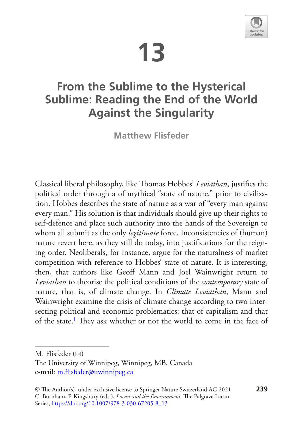# **13**



## **From the Sublime to the Hysterical Sublime: Reading the End of the World Against the Singularity**

**Matthew Flisfeder**

Classical liberal philosophy, like Thomas Hobbes' Leviathan, justifies the political order through a of mythical "state of nature," prior to civilisation. Hobbes describes the state of nature as a war of "every man against every man." His solution is that individuals should give up their rights to self-defence and place such authority into the hands of the Sovereign to whom all submit as the only *legitimate* force. Inconsistencies of (human) nature revert here, as they still do today, into justifcations for the reigning order. Neoliberals, for instance, argue for the naturalness of market competition with reference to Hobbes' state of nature. It is interesting, then, that authors like Geof Mann and Joel Wainwright return to *Leviathan* to theorise the political conditions of the *contemporary* state of nature, that is, of climate change. In *Climate Leviathan*, Mann and Wainwright examine the crisis of climate change according to two intersecting political and economic problematics: that of capitalism and that of the state.<sup>1</sup> They ask whether or not the world to come in the face of

M. Flisfeder  $(\boxtimes)$ 

The University of Winnipeg, Winnipeg, MB, Canada e-mail[: m.fisfeder@uwinnipeg.ca](mailto:m.flisfeder@uwinnipeg.ca)

<sup>©</sup> The Author(s), under exclusive license to Springer Nature Switzerland AG 2021 **239** C. Burnham, P. Kingsbury (eds.), *Lacan and the Environment*, The Palgrave Lacan Series, [https://doi.org/10.1007/978-3-030-67205-8\\_13](https://doi.org/10.1007/978-3-030-67205-8_13#DOI)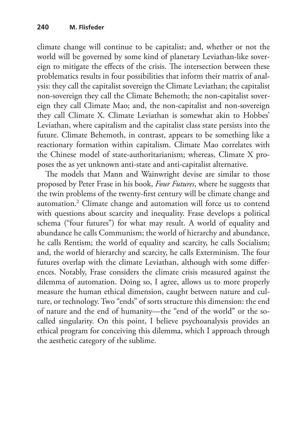climate change will continue to be capitalist; and, whether or not the world will be governed by some kind of planetary Leviathan-like sovereign to mitigate the effects of the crisis. The intersection between these problematics results in four possibilities that inform their matrix of analysis: they call the capitalist sovereign the Climate Leviathan; the capitalist non-sovereign they call the Climate Behemoth; the non-capitalist sovereign they call Climate Mao; and, the non-capitalist and non-sovereign they call Climate X. Climate Leviathan is somewhat akin to Hobbes' Leviathan, where capitalism and the capitalist class state persists into the future. Climate Behemoth, in contrast, appears to be something like a reactionary formation within capitalism. Climate Mao correlates with the Chinese model of state-authoritarianism; whereas, Climate X proposes the as yet unknown anti-state and anti-capitalist alternative.

The models that Mann and Wainwright devise are similar to those proposed by Peter Frase in his book, *Four Futures*, where he suggests that the twin problems of the twenty-frst century will be climate change and automation[.2](#page-11-1) Climate change and automation will force us to contend with questions about scarcity and inequality. Frase develops a political schema ("four futures") for what may result. A world of equality and abundance he calls Communism; the world of hierarchy and abundance, he calls Rentism; the world of equality and scarcity, he calls Socialism; and, the world of hierarchy and scarcity, he calls Exterminism. The four futures overlap with the climate Leviathan, although with some diferences. Notably, Frase considers the climate crisis measured against the dilemma of automation. Doing so, I agree, allows us to more properly measure the human ethical dimension, caught between nature and culture, or technology. Two "ends" of sorts structure this dimension: the end of nature and the end of humanity—the "end of the world" or the socalled singularity. On this point, I believe psychoanalysis provides an ethical program for conceiving this dilemma, which I approach through the aesthetic category of the sublime.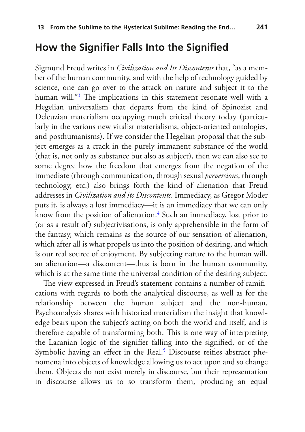#### **How the Signifer Falls Into the Signifed**

Sigmund Freud writes in *Civilization and Its Discontents* that, "as a member of the human community, and with the help of technology guided by science, one can go over to the attack on nature and subject it to the human will."<sup>3</sup> The implications in this statement resonate well with a Hegelian universalism that departs from the kind of Spinozist and Deleuzian materialism occupying much critical theory today (particularly in the various new vitalist materialisms, object-oriented ontologies, and posthumanisms). If we consider the Hegelian proposal that the subject emerges as a crack in the purely immanent substance of the world (that is, not only as substance but also as subject), then we can also see to some degree how the freedom that emerges from the negation of the immediate (through communication, through sexual *perversions*, through technology, etc.) also brings forth the kind of alienation that Freud addresses in *Civilization and its Discontents*. Immediacy, as Gregor Moder puts it, is always a lost immediacy—it is an immediacy that we can only know from the position of alienation[.4](#page-11-3) Such an immediacy, lost prior to (or as a result of) subjectivisations, is only apprehensible in the form of the fantasy, which remains as the source of our sensation of alienation, which after all is what propels us into the position of desiring, and which is our real source of enjoyment. By subjecting nature to the human will, an alienation—a discontent—thus is born in the human community, which is at the same time the universal condition of the desiring subject.

The view expressed in Freud's statement contains a number of ramifications with regards to both the analytical discourse, as well as for the relationship between the human subject and the non-human. Psychoanalysis shares with historical materialism the insight that knowledge bears upon the subject's acting on both the world and itself, and is therefore capable of transforming both. This is one way of interpreting the Lacanian logic of the signifer falling into the signifed, or of the Symbolic having an effect in the Real.<sup>5</sup> Discourse reifies abstract phenomena into objects of knowledge allowing us to act upon and so change them. Objects do not exist merely in discourse, but their representation in discourse allows us to so transform them, producing an equal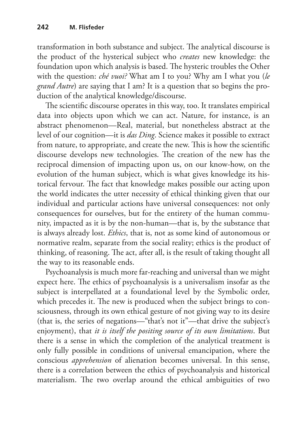transformation in both substance and subject. The analytical discourse is the product of the hysterical subject who *creates* new knowledge: the foundation upon which analysis is based. The hysteric troubles the Other with the question: *ché vuoi?* What am I to you? Why am I what you (*le grand Autre*) are saying that I am? It is a question that so begins the production of the analytical knowledge/discourse.

The scientific discourse operates in this way, too. It translates empirical data into objects upon which we can act. Nature, for instance, is an abstract phenomenon—Real, material, but nonetheless abstract at the level of our cognition—it is *das Ding*. Science makes it possible to extract from nature, to appropriate, and create the new. This is how the scientific discourse develops new technologies. The creation of the new has the reciprocal dimension of impacting upon us, on our know-how, on the evolution of the human subject, which is what gives knowledge its historical fervour. The fact that knowledge makes possible our acting upon the world indicates the utter necessity of ethical thinking given that our individual and particular actions have universal consequences: not only consequences for ourselves, but for the entirety of the human community, impacted as it is by the non-human—that is, by the substance that is always already lost. *Ethics*, that is, not as some kind of autonomous or normative realm, separate from the social reality; ethics is the product of thinking, of reasoning. The act, after all, is the result of taking thought all the way to its reasonable ends.

Psychoanalysis is much more far-reaching and universal than we might expect here. The ethics of psychoanalysis is a universalism insofar as the subject is interpellated at a foundational level by the Symbolic order, which precedes it. The new is produced when the subject brings to consciousness, through its own ethical gesture of not giving way to its desire (that is, the series of negations—"that's not it"—that drive the subject's enjoyment), that *it is itself the positing source of its own limitations*. But there is a sense in which the completion of the analytical treatment is only fully possible in conditions of universal emancipation, where the conscious *apprehension* of alienation becomes universal. In this sense, there is a correlation between the ethics of psychoanalysis and historical materialism. The two overlap around the ethical ambiguities of two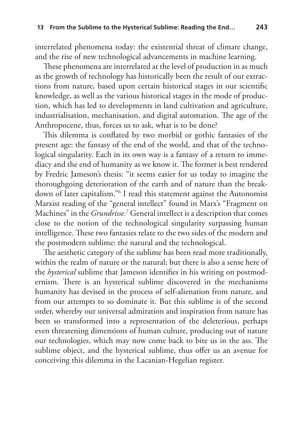interrelated phenomena today: the existential threat of climate change, and the rise of new technological advancements in machine learning.

These phenomena are interrelated at the level of production in as much as the growth of technology has historically been the result of our extractions from nature, based upon certain historical stages in our scientifc knowledge, as well as the various historical stages in the mode of production, which has led to developments in land cultivation and agriculture, industrialisation, mechanisation, and digital automation. The age of the Anthropocene, thus, forces us to ask, what is to be done?

This dilemma is conflated by two morbid or gothic fantasies of the present age: the fantasy of the end of the world, and that of the technological singularity. Each in its own way is a fantasy of a return to immediacy and the end of humanity as we know it. The former is best rendered by Fredric Jameson's thesis: "it seems easier for us today to imagine the thoroughgoing deterioration of the earth and of nature than the breakdown of later capitalism."[6](#page-11-5) I read this statement against the Autonomist Marxist reading of the "general intellect" found in Marx's "Fragment on Machines" in the *Grundrisse*. [7](#page-11-6) General intellect is a description that comes close to the notion of the technological singularity surpassing human intelligence. These two fantasies relate to the two sides of the modern and the postmodern sublime: the natural and the technological.

The aesthetic category of the sublime has been read more traditionally, within the realm of nature or the natural; but there is also a sense here of the *hysterical* sublime that Jameson identifes in his writing on postmodernism. There is an hysterical sublime discovered in the mechanisms humanity has devised in the process of self-alienation from nature, and from our attempts to so dominate it. But this sublime is of the second order, whereby our universal admiration and inspiration from nature has been so transformed into a representation of the deleterious, perhaps even threatening dimensions of human culture, producing out of nature our technologies, which may now come back to bite us in the ass. The sublime object, and the hysterical sublime, thus offer us an avenue for conceiving this dilemma in the Lacanian-Hegelian register.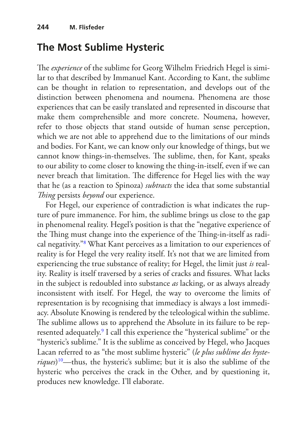## **The Most Sublime Hysteric**

The *experience* of the sublime for Georg Wilhelm Friedrich Hegel is similar to that described by Immanuel Kant. According to Kant, the sublime can be thought in relation to representation, and develops out of the distinction between phenomena and noumena. Phenomena are those experiences that can be easily translated and represented in discourse that make them comprehensible and more concrete. Noumena, however, refer to those objects that stand outside of human sense perception, which we are not able to apprehend due to the limitations of our minds and bodies. For Kant, we can know only our knowledge of things, but we cannot know things-in-themselves. The sublime, then, for Kant, speaks to our ability to come closer to knowing the thing-in-itself, even if we can never breach that limitation. The difference for Hegel lies with the way that he (as a reaction to Spinoza) *subtracts* the idea that some substantial *Ting* persists *beyond* our experience.

For Hegel, our experience of contradiction is what indicates the rupture of pure immanence. For him, the sublime brings us close to the gap in phenomenal reality. Hegel's position is that the "negative experience of the Thing must change into the experience of the Thing-in-itself as radical negativity."[8](#page-12-0) What Kant perceives as a limitation to our experiences of reality is for Hegel the very reality itself. It's not that we are limited from experiencing the true substance of reality; for Hegel, the limit just *is* reality. Reality is itself traversed by a series of cracks and fissures. What lacks in the subject is redoubled into substance *as* lacking, or as always already inconsistent with itself. For Hegel, the way to overcome the limits of representation is by recognising that immediacy is always a lost immediacy. Absolute Knowing is rendered by the teleological within the sublime. The sublime allows us to apprehend the Absolute in its failure to be represented adequately.<sup>9</sup> I call this experience the "hysterical sublime" or the "hysteric's sublime." It is the sublime as conceived by Hegel, who Jacques Lacan referred to as "the most sublime hysteric" (*le plus sublime des hysteriques*) [10—](#page-12-2)thus, the hysteric's sublime; but it is also the sublime of the hysteric who perceives the crack in the Other, and by questioning it, produces new knowledge. I'll elaborate.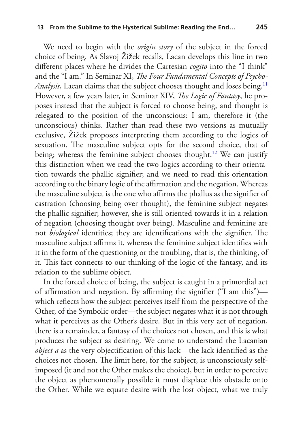We need to begin with the *origin story* of the subject in the forced choice of being. As Slavoj Žižek recalls, Lacan develops this line in two diferent places where he divides the Cartesian *cogito* into the "I think" and the "I am." In Seminar XI, *The Four Fundamental Concepts of Psycho-Analysis*, Lacan claims that the subject chooses thought and loses being.<sup>[11](#page-12-3)</sup> However, a few years later, in Seminar XIV, *The Logic of Fantasy*, he proposes instead that the subject is forced to choose being, and thought is relegated to the position of the unconscious: I am, therefore it (the unconscious) thinks. Rather than read these two versions as mutually exclusive, Žižek proposes interpreting them according to the logics of sexuation. The masculine subject opts for the second choice, that of being; whereas the feminine subject chooses thought.<sup>12</sup> We can justify this distinction when we read the two logics according to their orientation towards the phallic signifer; and we need to read this orientation according to the binary logic of the affirmation and the negation. Whereas the masculine subject is the one who affirms the phallus as the signifier of castration (choosing being over thought), the feminine subject negates the phallic signifer; however, she is still oriented towards it in a relation of negation (choosing thought over being). Masculine and feminine are not *biological* identities; they are identifications with the signifier. The masculine subject affirms it, whereas the feminine subject identifies with it in the form of the questioning or the troubling, that is, the thinking, of it. This fact connects to our thinking of the logic of the fantasy, and its relation to the sublime object.

In the forced choice of being, the subject is caught in a primordial act of afrmation and negation. By afrming the signifer ("I am this") which refects how the subject perceives itself from the perspective of the Other, of the Symbolic order—the subject negates what it is not through what it perceives as the Other's desire. But in this very act of negation, there is a remainder, a fantasy of the choices not chosen, and this is what produces the subject as desiring. We come to understand the Lacanian *object a* as the very objectifcation of this lack—the lack identifed as the choices not chosen. The limit here, for the subject, is unconsciously selfimposed (it and not the Other makes the choice), but in order to perceive the object as phenomenally possible it must displace this obstacle onto the Other. While we equate desire with the lost object, what we truly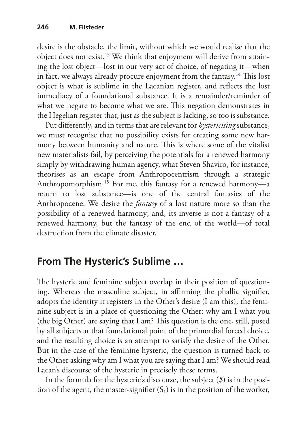desire is the obstacle, the limit, without which we would realise that the object does not exist[.13](#page-12-5) We think that enjoyment will derive from attaining the lost object—lost in our very act of choice, of negating it—when in fact, we always already procure enjoyment from the fantasy.<sup>[14](#page-12-6)</sup> This lost object is what is sublime in the Lacanian register, and refects the lost immediacy of a foundational substance. It is a remainder/reminder of what we negate to become what we are. This negation demonstrates in the Hegelian register that, just as the subject is lacking, so too is substance.

Put diferently, and in terms that are relevant for *hystericising* substance, we must recognise that no possibility exists for creating some new harmony between humanity and nature. This is where some of the vitalist new materialists fail, by perceiving the potentials for a renewed harmony simply by withdrawing human agency, what Steven Shaviro, for instance, theorises as an escape from Anthropocentrism through a strategic Anthropomorphism[.15](#page-12-7) For me, this fantasy for a renewed harmony—a return to lost substance—is one of the central fantasies of the Anthropocene. We desire the *fantasy* of a lost nature more so than the possibility of a renewed harmony; and, its inverse is not a fantasy of a renewed harmony, but the fantasy of the end of the world—of total destruction from the climate disaster.

## **From The Hysteric's Sublime …**

The hysteric and feminine subject overlap in their position of questioning. Whereas the masculine subject, in affirming the phallic signifier, adopts the identity it registers in the Other's desire (I am this), the feminine subject is in a place of questioning the Other: why am I what you (the big Other) are saying that I am? This question is the one, still, posed by all subjects at that foundational point of the primordial forced choice, and the resulting choice is an attempt to satisfy the desire of the Other. But in the case of the feminine hysteric, the question is turned back to the Other asking why am I what you are saying that I am? We should read Lacan's discourse of the hysteric in precisely these terms.

In the formula for the hysteric's discourse, the subject (*\$*) is in the position of the agent, the master-signifier  $(S_1)$  is in the position of the worker,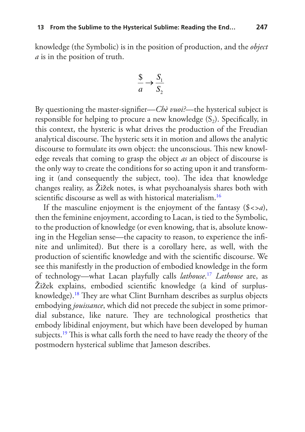knowledge (the Symbolic) is in the position of production, and the *object a* is in the position of truth.

$$
\frac{\$}{a} \to \frac{S_1}{S_2}
$$

By questioning the master-signifer—*Chè vuoi?*—the hysterical subject is responsible for helping to procure a new knowledge  $(S_2)$ . Specifically, in this context, the hysteric is what drives the production of the Freudian analytical discourse. The hysteric sets it in motion and allows the analytic discourse to formulate its own object: the unconscious. This new knowledge reveals that coming to grasp the object *as* an object of discourse is the only way to create the conditions for so acting upon it and transforming it (and consequently the subject, too). The idea that knowledge changes reality, as Žižek notes, is what psychoanalysis shares both with scientifc discourse as well as with historical materialism.[16](#page-12-8)

If the masculine enjoyment is the enjoyment of the fantasy (\$*<>a*), then the feminine enjoyment, according to Lacan, is tied to the Symbolic, to the production of knowledge (or even knowing, that is, absolute knowing in the Hegelian sense—the capacity to reason, to experience the infnite and unlimited). But there is a corollary here, as well, with the production of scientifc knowledge and with the scientifc discourse. We see this manifestly in the production of embodied knowledge in the form of technology—what Lacan playfully calls *lathouse*. [17](#page-12-9) *Lathouse* are, as Žižek explains, embodied scientifc knowledge (a kind of surplusknowledge).<sup>18</sup> They are what Clint Burnham describes as surplus objects embodying *jouissance*, which did not precede the subject in some primordial substance, like nature. They are technological prosthetics that embody libidinal enjoyment, but which have been developed by human subjects.<sup>19</sup> This is what calls forth the need to have ready the theory of the postmodern hysterical sublime that Jameson describes.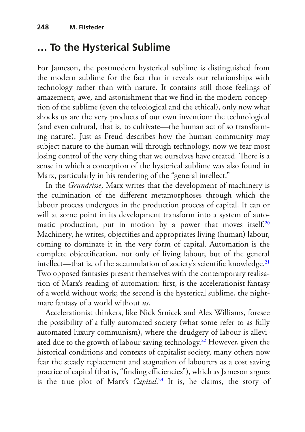## **… To the Hysterical Sublime**

For Jameson, the postmodern hysterical sublime is distinguished from the modern sublime for the fact that it reveals our relationships with technology rather than with nature. It contains still those feelings of amazement, awe, and astonishment that we fnd in the modern conception of the sublime (even the teleological and the ethical), only now what shocks us are the very products of our own invention: the technological (and even cultural, that is, to cultivate—the human act of so transforming nature). Just as Freud describes how the human community may subject nature to the human will through technology, now we fear most losing control of the very thing that we ourselves have created. There is a sense in which a conception of the hysterical sublime was also found in Marx, particularly in his rendering of the "general intellect."

In the *Grundrisse*, Marx writes that the development of machinery is the culmination of the diferent metamorphoses through which the labour process undergoes in the production process of capital. It can or will at some point in its development transform into a system of automatic production, put in motion by a power that moves itself.<sup>20</sup> Machinery, he writes, objectifes and appropriates living (human) labour, coming to dominate it in the very form of capital. Automation is the complete objectifcation, not only of living labour, but of the general intellect—that is, of the accumulation of society's scientific knowledge.<sup>21</sup> Two opposed fantasies present themselves with the contemporary realisation of Marx's reading of automation: frst, is the accelerationist fantasy of a world without work; the second is the hysterical sublime, the nightmare fantasy of a world without *us*.

Accelerationist thinkers, like Nick Srnicek and Alex Williams, foresee the possibility of a fully automated society (what some refer to as fully automated luxury communism), where the drudgery of labour is alleviated due to the growth of labour saving technology.<sup>22</sup> However, given the historical conditions and contexts of capitalist society, many others now fear the steady replacement and stagnation of labourers as a cost saving practice of capital (that is, "finding efficiencies"), which as Jameson argues is the true plot of Marx's *Capital*. [23](#page-12-15) It is, he claims, the story of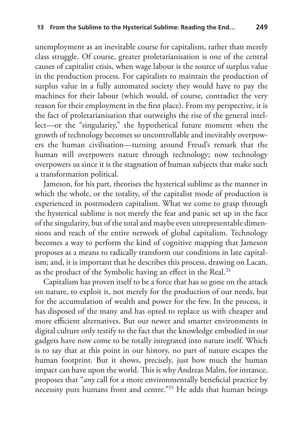unemployment as an inevitable course for capitalism, rather than merely class struggle. Of course, greater proletarianisation is one of the central causes of capitalist crisis, when wage labour is the source of surplus value in the production process. For capitalists to maintain the production of surplus value in a fully automated society they would have to pay the machines for their labour (which would, of course, contradict the very reason for their employment in the frst place). From my perspective, it is the fact of proletarianisation that outweighs the rise of the general intellect—or the "singularity," the hypothetical future moment when the growth of technology becomes so uncontrollable and inevitably overpowers the human civilisation—turning around Freud's remark that the human will overpowers nature through technology; now technology overpowers us since it is the stagnation of human subjects that make such a transformation political.

Jameson, for his part, theorises the hysterical sublime as the manner in which the whole, or the totality, of the capitalist mode of production is experienced in postmodern capitalism. What we come to grasp through the hysterical sublime is not merely the fear and panic set up in the face of the singularity, but of the total and maybe even unrepresentable dimensions and reach of the entire network of global capitalism. Technology becomes a way to perform the kind of cognitive mapping that Jameson proposes as a means to radically transform our conditions in late capitalism; and, it is important that he describes this process, drawing on Lacan, as the product of the Symbolic having an effect in the Real.<sup>[24](#page-12-16)</sup>

Capitalism has proven itself to be a force that has so gone on the attack on nature, to exploit it, not merely for the production of our needs, but for the accumulation of wealth and power for the few. In the process, it has disposed of the many and has opted to replace us with cheaper and more efcient alternatives. But our newer and smarter environments in digital culture only testify to the fact that the knowledge embodied in our gadgets have now come to be totally integrated into nature itself. Which is to say that at this point in our history, no part of nature escapes the human footprint. But it shows, precisely, just how much the human impact can have upon the world. This is why Andreas Malm, for instance, proposes that "*any* call for a more environmentally benefcial practice by necessity puts humans front and centre."<sup>25</sup> He adds that human beings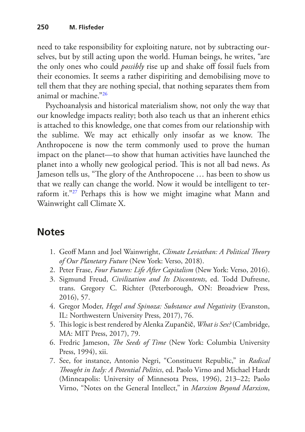need to take responsibility for exploiting nature, not by subtracting ourselves, but by still acting upon the world. Human beings, he writes, "are the only ones who could *possibly* rise up and shake off fossil fuels from their economies. It seems a rather dispiriting and demobilising move to tell them that they are nothing special, that nothing separates them from animal or machine."[26](#page-13-1)

Psychoanalysis and historical materialism show, not only the way that our knowledge impacts reality; both also teach us that an inherent ethics is attached to this knowledge, one that comes from our relationship with the sublime. We may act ethically only insofar as we know. The Anthropocene is now the term commonly used to prove the human impact on the planet—to show that human activities have launched the planet into a wholly new geological period. This is not all bad news. As Jameson tells us, "The glory of the Anthropocene ... has been to show us that we really can change the world. Now it would be intelligent to ter-raform it."<sup>[27](#page-13-2)</sup> Perhaps this is how we might imagine what Mann and Wainwright call Climate X.

## **Notes**

- <span id="page-11-0"></span>1. Geof Mann and Joel Wainwright, *Climate Leviathan: A Political Teory of Our Planetary Future* (New York: Verso, 2018).
- <span id="page-11-1"></span>2. Peter Frase, *Four Futures: Life After Capitalism* (New York: Verso, 2016).
- <span id="page-11-2"></span>3. Sigmund Freud, *Civilization and Its Discontents*, ed. Todd Dufresne, trans. Gregory C. Richter (Peterborough, ON: Broadview Press, 2016), 57.
- <span id="page-11-3"></span>4. Gregor Moder, *Hegel and Spinoza: Substance and Negativity* (Evanston, IL: Northwestern University Press, 2017), 76.
- <span id="page-11-4"></span>5. Tis logic is best rendered by Alenka Zupančič, *What is Sex?* (Cambridge, MA: MIT Press, 2017), 79.
- <span id="page-11-5"></span>6. Fredric Jameson, *The Seeds of Time* (New York: Columbia University Press, 1994), xii.
- <span id="page-11-6"></span>7. See, for instance, Antonio Negri, "Constituent Republic," in *Radical Tought in Italy: A Potential Politics*, ed. Paolo Virno and Michael Hardt (Minneapolis: University of Minnesota Press, 1996), 213–22; Paolo Virno, "Notes on the General Intellect," in *Marxism Beyond Marxism*,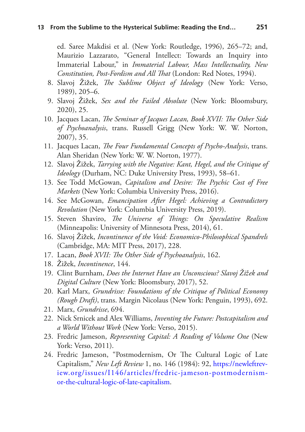ed. Saree Makdisi et al. (New York: Routledge, 1996), 265–72; and, Maurizio Lazzarato, "General Intellect: Towards an Inquiry into Immaterial Labour," in *Immaterial Labour, Mass Intellectuality, New*  Constitution, Post-Fordism and All That (London: Red Notes, 1994).

- <span id="page-12-0"></span>8. Slavoj Žižek, *Te Sublime Object of Ideology* (New York: Verso, 1989), 205–6.
- <span id="page-12-1"></span>9. Slavoj Žižek, *Sex and the Failed Absolute* (New York: Bloomsbury, 2020), 25.
- <span id="page-12-2"></span>10. Jacques Lacan, *The Seminar of Jacques Lacan, Book XVII: The Other Side of Psychoanalysis*, trans. Russell Grigg (New York: W. W. Norton, 2007), 35.
- <span id="page-12-3"></span>11. Jacques Lacan, *The Four Fundamental Concepts of Psycho-Analysis*, trans. Alan Sheridan (New York: W. W. Norton, 1977).
- <span id="page-12-4"></span>12. Slavoj Žižek, *Tarrying with the Negative: Kant, Hegel, and the Critique of Ideology* (Durham, NC: Duke University Press, 1993), 58–61.
- <span id="page-12-5"></span>13. See Todd McGowan, *Capitalism and Desire: The Psychic Cost of Free Markets* (New York: Columbia University Press, 2016).
- <span id="page-12-6"></span>14. See McGowan, *Emancipation After Hegel: Achieving a Contradictory Revolution* (New York: Columbia University Press, 2019).
- <span id="page-12-7"></span>15. Steven Shaviro, *The Universe of Things: On Speculative Realism* (Minneapolis: University of Minnesota Press, 2014), 61.
- <span id="page-12-8"></span>16. Slavoj Žižek, *Incontinence of the Void: Economico-Philosophical Spandrels* (Cambridge, MA: MIT Press, 2017), 228.
- <span id="page-12-9"></span>17. Lacan, *Book XVII: The Other Side of Psychoanalysis*, 162.
- <span id="page-12-10"></span>18. Žižek, *Incontinence*, 144.
- <span id="page-12-11"></span>19. Clint Burnham, *Does the Internet Have an Unconscious? Slavoj Žižek and Digital Culture* (New York: Bloomsbury, 2017), 52.
- <span id="page-12-12"></span>20. Karl Marx, *Grundrisse: Foundations of the Critique of Political Economy (Rough Draft)*, trans. Margin Nicolaus (New York: Penguin, 1993), 692.
- <span id="page-12-13"></span>21. Marx, *Grundrisse*, 694.
- <span id="page-12-14"></span>22. Nick Srnicek and Alex Williams, *Inventing the Future: Postcapitalism and a World Without Work* (New York: Verso, 2015).
- <span id="page-12-15"></span>23. Fredric Jameson, *Representing Capital: A Reading of Volume One* (New York: Verso, 2011).
- <span id="page-12-16"></span>24. Fredric Jameson, "Postmodernism, Or The Cultural Logic of Late Capitalism," *New Left Review* 1, no. 146 (1984): 92, [https://newleftrev](https://newleftreview.org/issues/I146/articles/fredric-jameson-postmodernism-or-the-cultural-logic-of-late-capitalism)[iew.org/issues/I146/articles/fredric-jameson-postmodernism](https://newleftreview.org/issues/I146/articles/fredric-jameson-postmodernism-or-the-cultural-logic-of-late-capitalism)[or-the-cultural-logic-of-late-capitalism.](https://newleftreview.org/issues/I146/articles/fredric-jameson-postmodernism-or-the-cultural-logic-of-late-capitalism)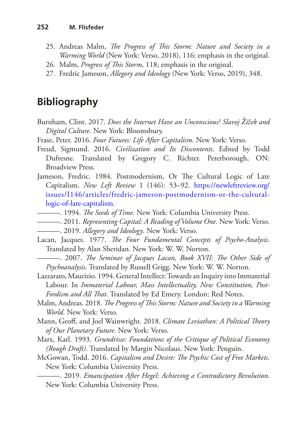- <span id="page-13-0"></span>25. Andreas Malm, *The Progress of This Storm: Nature and Society in a Warming World* (New York: Verso, 2018), 116; emphasis in the original.
- <span id="page-13-1"></span>26. Malm, *Progress of Tis Storm*, 118; emphasis in the original.
- <span id="page-13-2"></span>27. Fredric Jameson, *Allegory and Ideology* (New York: Verso, 2019), 348.

#### **Bibliography**

- Burnham, Clint. 2017. *Does the Internet Have an Unconscious? Slavoj Žižek and Digital Culture*. New York: Bloomsbury.
- Frase, Peter. 2016. *Four Futures: Life After Capitalism*. New York: Verso.
- Freud, Sigmund. 2016. *Civilization and Its Discontents*. Edited by Todd Dufresne. Translated by Gregory C. Richter. Peterborough, ON: Broadview Press.
- Jameson, Fredric. 1984. Postmodernism, Or The Cultural Logic of Late Capitalism. *New Left Review* 1 (146): 53–92. [https://newleftreview.org/](https://newleftreview.org/issues/I146/articles/fredric-jameson-postmodernism-or-the-cultural-logic-of-late-capitalism) [issues/I146/articles/fredric-jameson-postmodernism-or-the-cultural](https://newleftreview.org/issues/I146/articles/fredric-jameson-postmodernism-or-the-cultural-logic-of-late-capitalism)[logic-of-late-capitalism.](https://newleftreview.org/issues/I146/articles/fredric-jameson-postmodernism-or-the-cultural-logic-of-late-capitalism)
- **1994.** *The Seeds of Time*. New York: Columbia University Press.
- ———. 2011. *Representing Capital: A Reading of Volume One*. New York: Verso.
- ———. 2019. *Allegory and Ideology*. New York: Verso.
- Lacan, Jacques. 1977. *The Four Fundamental Concepts of Psycho-Analysis*. Translated by Alan Sheridan. New York: W. W. Norton.
	- ———. 2007. *Te Seminar of Jacques Lacan, Book XVII: Te Other Side of Psychoanalysis*. Translated by Russell Grigg. New York: W. W. Norton.
- Lazzarato, Maurizio. 1994. General Intellect: Towards an Inquiry into Immaterial Labour. In *Immaterial Labour, Mass Intellectuality, New Constitution, Post-*Fordism and All That. Translated by Ed Emery. London: Red Notes.
- Malm, Andreas. 2018. *The Progress of This Storm: Nature and Society in a Warming World*. New York: Verso.
- Mann, Geoff, and Joel Wainwright. 2018. *Climate Leviathan: A Political Theory of Our Planetary Future*. New York: Verso.
- Marx, Karl. 1993. *Grundrisse: Foundations of the Critique of Political Economy (Rough Draft)*. Translated by Margin Nicolaus. New York: Penguin.
- McGowan, Todd. 2016. *Capitalism and Desire: The Psychic Cost of Free Markets*. New York: Columbia University Press.
	- ———. 2019. *Emancipation After Hegel: Achieving a Contradictory Revolution*. New York: Columbia University Press.